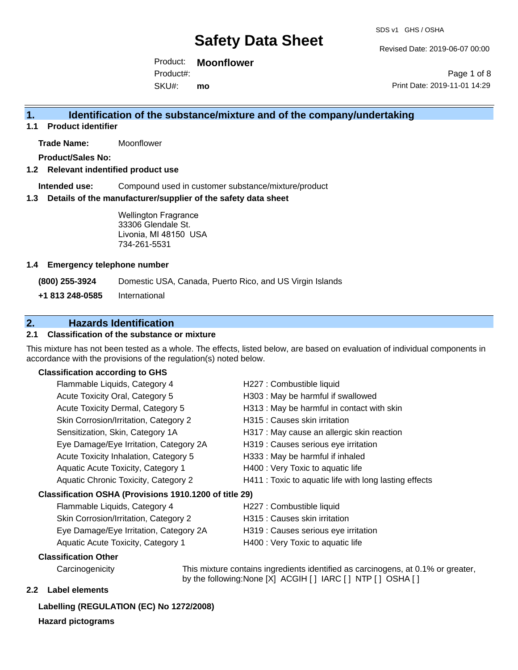Revised Date: 2019-06-07 00:00

Product: **Moonflower** Product#:

SKU#: **mo**

Page 1 of 8 Print Date: 2019-11-01 14:29

# **1. Identification of the substance/mixture and of the company/undertaking**

**1.1 Product identifier**

**Trade Name:** Moonflower

**Product/Sales No:**

#### **1.2 Relevant indentified product use**

**Intended use:** Compound used in customer substance/mixture/product

#### **1.3 Details of the manufacturer/supplier of the safety data sheet**

Wellington Fragrance 33306 Glendale St. Livonia, MI 48150 USA 734-261-5531

#### **1.4 Emergency telephone number**

**(800) 255-3924** Domestic USA, Canada, Puerto Rico, and US Virgin Islands

**+1 813 248-0585** International

# **2. Hazards Identification**

### **2.1 Classification of the substance or mixture**

This mixture has not been tested as a whole. The effects, listed below, are based on evaluation of individual components in accordance with the provisions of the regulation(s) noted below.

### **Classification according to GHS**

| Flammable Liquids, Category 4                          | H227 : Combustible liquid                              |  |  |
|--------------------------------------------------------|--------------------------------------------------------|--|--|
| Acute Toxicity Oral, Category 5                        | H303 : May be harmful if swallowed                     |  |  |
| Acute Toxicity Dermal, Category 5                      | H313: May be harmful in contact with skin              |  |  |
| Skin Corrosion/Irritation, Category 2                  | H315 : Causes skin irritation                          |  |  |
| Sensitization, Skin, Category 1A                       | H317 : May cause an allergic skin reaction             |  |  |
| Eye Damage/Eye Irritation, Category 2A                 | H319 : Causes serious eye irritation                   |  |  |
| Acute Toxicity Inhalation, Category 5                  | H333: May be harmful if inhaled                        |  |  |
| Aquatic Acute Toxicity, Category 1                     | H400 : Very Toxic to aquatic life                      |  |  |
| Aquatic Chronic Toxicity, Category 2                   | H411 : Toxic to aquatic life with long lasting effects |  |  |
| Classification OSHA (Provisions 1910.1200 of title 29) |                                                        |  |  |
| Flammable Liquids, Category 4                          | H227 : Combustible liquid                              |  |  |
|                                                        |                                                        |  |  |

| Skin Corrosion/Irritation, Category 2  |
|----------------------------------------|
| Eye Damage/Eye Irritation, Category 2A |
| Aquatic Acute Toxicity, Category 1     |

- H315 : Causes skin irritation
- H319 : Causes serious eye irritation
- Acute Toxicity, Category 1 **H400** : Very Toxic to aquatic life

#### **Classification Other**

Carcinogenicity This mixture contains ingredients identified as carcinogens, at 0.1% or greater, by the following:None [X] ACGIH [ ] IARC [ ] NTP [ ] OSHA [ ]

#### **2.2 Label elements**

#### **Labelling (REGULATION (EC) No 1272/2008)**

**Hazard pictograms**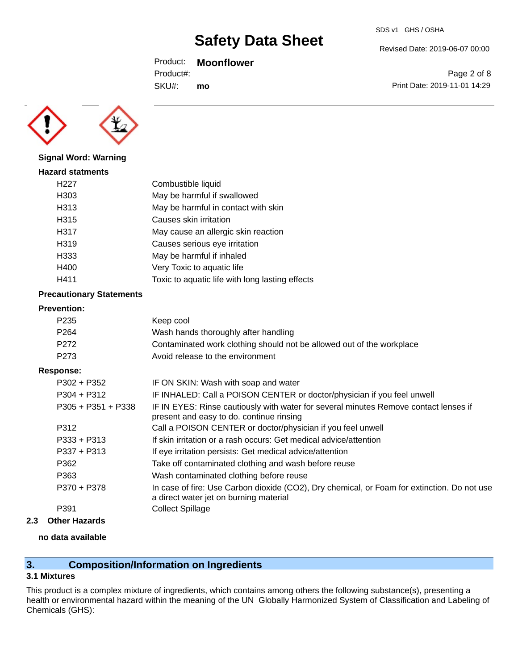### Product: **Moonflower**

Product#:

SKU#: **mo** Revised Date: 2019-06-07 00:00

SDS v1 GHS / OSHA

Page 2 of 8 Print Date: 2019-11-01 14:29



**Signal Word: Warning**

| <b>Hazard statments</b> |                                                 |
|-------------------------|-------------------------------------------------|
| H227                    | Combustible liquid                              |
| H303                    | May be harmful if swallowed                     |
| H313                    | May be harmful in contact with skin             |
| H315                    | Causes skin irritation                          |
| H317                    | May cause an allergic skin reaction             |
| H319                    | Causes serious eye irritation                   |
| H333                    | May be harmful if inhaled                       |
| H400                    | Very Toxic to aquatic life                      |
| H411                    | Toxic to aquatic life with long lasting effects |
|                         |                                                 |

### **Precautionary Statements**

#### **Prevention:**

| P235               | Keep cool                                                                |
|--------------------|--------------------------------------------------------------------------|
| P <sub>264</sub>   | Wash hands thoroughly after handling                                     |
| P <sub>272</sub>   | Contaminated work clothing should not be allowed out of the workplace    |
| P <sub>273</sub>   | Avoid release to the environment                                         |
| Response:          |                                                                          |
| $P302 + P352$      | IF ON SKIN: Wash with soap and water                                     |
| $P304 + P312$      | IF INHALED: Call a POISON CENTER or doctor/physician if you feel unwell  |
| DOOF . DOEA . DOOO | IF IN FVFO, Dhee aantanah mitungka ka aanaal adamka Damana aantaat lagaa |

| $P305 + P351 + P338$ | IF IN EYES: Rinse cautiously with water for several minutes Remove contact lenses if<br>present and easy to do. continue rinsing      |
|----------------------|---------------------------------------------------------------------------------------------------------------------------------------|
| P312                 | Call a POISON CENTER or doctor/physician if you feel unwell                                                                           |
| $P333 + P313$        | If skin irritation or a rash occurs: Get medical advice/attention                                                                     |
| $P337 + P313$        | If eye irritation persists: Get medical advice/attention                                                                              |
| P362                 | Take off contaminated clothing and wash before reuse                                                                                  |
| P363                 | Wash contaminated clothing before reuse                                                                                               |
| P370 + P378          | In case of fire: Use Carbon dioxide (CO2), Dry chemical, or Foam for extinction. Do not use<br>a direct water jet on burning material |
| P391                 | <b>Collect Spillage</b>                                                                                                               |
|                      |                                                                                                                                       |

**2.3 Other Hazards**

### **no data available**

# **3. Composition/Information on Ingredients**

### **3.1 Mixtures**

This product is a complex mixture of ingredients, which contains among others the following substance(s), presenting a health or environmental hazard within the meaning of the UN Globally Harmonized System of Classification and Labeling of Chemicals (GHS):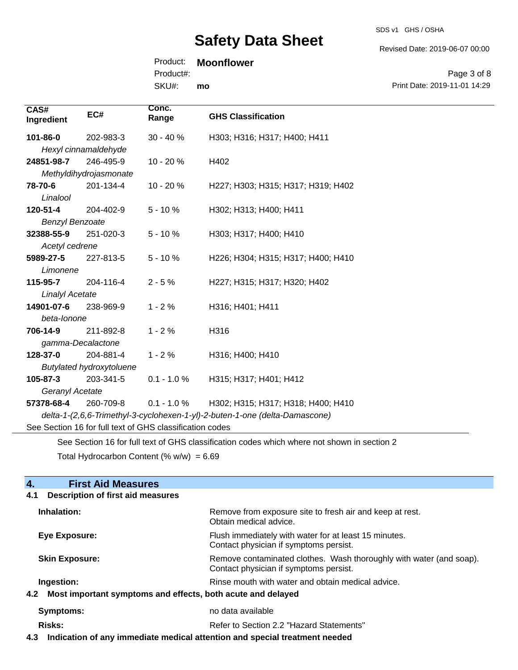SDS v1 GHS / OSHA

Revised Date: 2019-06-07 00:00

Print Date: 2019-11-01 14:29

Page 3 of 8

### Product: **Moonflower**

Product#:

SKU#: **mo**

| CAS#<br>Ingredient                                                                          | EC#                    | Conc.<br>Range | <b>GHS Classification</b>          |
|---------------------------------------------------------------------------------------------|------------------------|----------------|------------------------------------|
| 101-86-0                                                                                    | 202-983-3              | $30 - 40%$     | H303; H316; H317; H400; H411       |
|                                                                                             | Hexyl cinnamaldehyde   |                |                                    |
| 24851-98-7                                                                                  | 246-495-9              | 10 - 20 %      | H402                               |
|                                                                                             | Methyldihydrojasmonate |                |                                    |
| 78-70-6                                                                                     | 201-134-4              | 10 - 20 %      | H227; H303; H315; H317; H319; H402 |
| Linalool                                                                                    |                        |                |                                    |
| 120-51-4                                                                                    | 204-402-9              | $5 - 10%$      | H302; H313; H400; H411             |
| <b>Benzyl Benzoate</b>                                                                      |                        |                |                                    |
| 32388-55-9                                                                                  | 251-020-3              | $5 - 10%$      | H303; H317; H400; H410             |
| Acetyl cedrene                                                                              |                        |                |                                    |
| 5989-27-5                                                                                   | 227-813-5              | $5 - 10%$      | H226; H304; H315; H317; H400; H410 |
| Limonene                                                                                    |                        |                |                                    |
| 115-95-7                                                                                    | 204-116-4              | $2 - 5%$       | H227; H315; H317; H320; H402       |
| <b>Linalyl Acetate</b>                                                                      |                        |                |                                    |
| 14901-07-6                                                                                  | 238-969-9              | $1 - 2%$       | H316; H401; H411                   |
| beta-lonone                                                                                 |                        |                |                                    |
| 706-14-9                                                                                    | 211-892-8              | $1 - 2%$       | H316                               |
| gamma-Decalactone                                                                           |                        |                |                                    |
| 128-37-0                                                                                    | 204-881-4              | $1 - 2%$       | H316; H400; H410                   |
| <b>Butylated hydroxytoluene</b>                                                             |                        |                |                                    |
| 105-87-3                                                                                    | 203-341-5              | $0.1 - 1.0 %$  | H315; H317; H401; H412             |
| Geranyl Acetate                                                                             |                        |                |                                    |
| 57378-68-4                                                                                  | 260-709-8              | $0.1 - 1.0 \%$ | H302; H315; H317; H318; H400; H410 |
| delta-1-(2,6,6-Trimethyl-3-cyclohexen-1-yl)-2-buten-1-one (delta-Damascone)                 |                        |                |                                    |
| See Section 16 for full text of GHS classification codes                                    |                        |                |                                    |
| See Section 16 for full text of GHS classification codes which where not shown in section 2 |                        |                |                                    |

Total Hydrocarbon Content (%  $w/w$ ) = 6.69

# **4. First Aid Measures**

| <b>Description of first aid measures</b><br>4.1                 |                                                                                                               |
|-----------------------------------------------------------------|---------------------------------------------------------------------------------------------------------------|
| Inhalation:                                                     | Remove from exposure site to fresh air and keep at rest.<br>Obtain medical advice.                            |
| Eye Exposure:                                                   | Flush immediately with water for at least 15 minutes.<br>Contact physician if symptoms persist.               |
| <b>Skin Exposure:</b>                                           | Remove contaminated clothes. Wash thoroughly with water (and soap).<br>Contact physician if symptoms persist. |
| Ingestion:                                                      | Rinse mouth with water and obtain medical advice.                                                             |
| 4.2 Most important symptoms and effects, both acute and delayed |                                                                                                               |
| <b>Symptoms:</b>                                                | no data available                                                                                             |
| Risks:                                                          | Refer to Section 2.2 "Hazard Statements"                                                                      |
|                                                                 |                                                                                                               |

**4.3 Indication of any immediate medical attention and special treatment needed**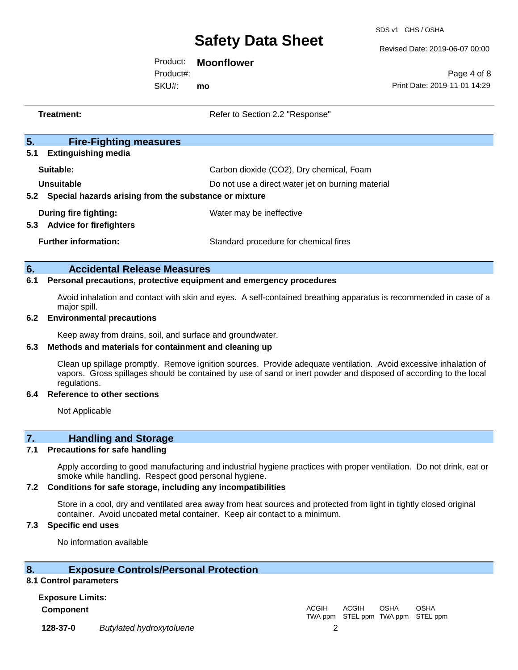SDS v1 GHS / OSHA

Revised Date: 2019-06-07 00:00

Print Date: 2019-11-01 14:29

Page 4 of 8

## Product: **Moonflower**

SKU#: Product#: **mo**

| Treatment:                            | Refer to Section 2.2 "Response"                       |  |
|---------------------------------------|-------------------------------------------------------|--|
| 5.                                    | <b>Fire-Fighting measures</b>                         |  |
| <b>Extinguishing media</b><br>5.1     |                                                       |  |
| Suitable:                             | Carbon dioxide (CO2), Dry chemical, Foam              |  |
| Unsuitable                            | Do not use a direct water jet on burning material     |  |
| 5.2                                   | Special hazards arising from the substance or mixture |  |
| During fire fighting:                 | Water may be ineffective                              |  |
| <b>Advice for firefighters</b><br>5.3 |                                                       |  |
| <b>Further information:</b>           | Standard procedure for chemical fires                 |  |
| 6.                                    | <b>Accidental Release Measures</b>                    |  |

### **6.1 Personal precautions, protective equipment and emergency procedures**

Avoid inhalation and contact with skin and eyes. A self-contained breathing apparatus is recommended in case of a major spill.

#### **6.2 Environmental precautions**

Keep away from drains, soil, and surface and groundwater.

#### **6.3 Methods and materials for containment and cleaning up**

Clean up spillage promptly. Remove ignition sources. Provide adequate ventilation. Avoid excessive inhalation of vapors. Gross spillages should be contained by use of sand or inert powder and disposed of according to the local regulations.

#### **6.4 Reference to other sections**

Not Applicable

# **7. Handling and Storage**

#### **7.1 Precautions for safe handling**

Apply according to good manufacturing and industrial hygiene practices with proper ventilation. Do not drink, eat or smoke while handling. Respect good personal hygiene.

#### **7.2 Conditions for safe storage, including any incompatibilities**

Store in a cool, dry and ventilated area away from heat sources and protected from light in tightly closed original container. Avoid uncoated metal container. Keep air contact to a minimum.

#### **7.3 Specific end uses**

No information available

### **8. Exposure Controls/Personal Protection**

#### **8.1 Control parameters**

**Exposure Limits:**

**Component** ACGIH TWA ppm STEL ppm TWA ppm STEL ppm ACGIH **OSHA** OSHA **128-37-0** *Butylated hydroxytoluene* 2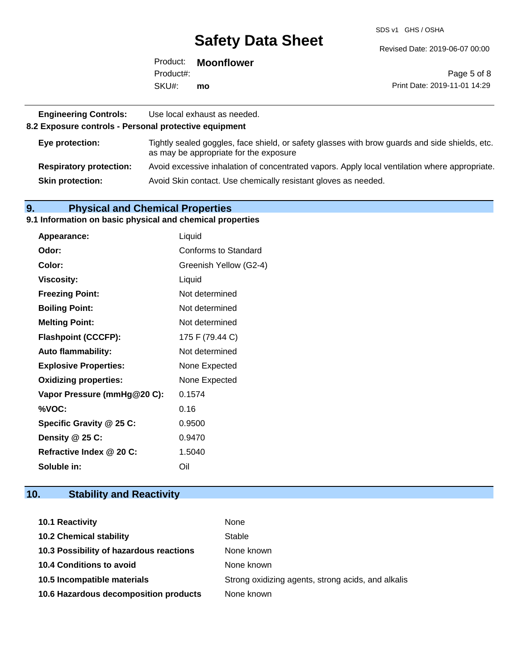SDS v1 GHS / OSHA

Revised Date: 2019-06-07 00:00

|           | Product: Moonflower |                              |
|-----------|---------------------|------------------------------|
| Product#: |                     | Page 5 of 8                  |
| SKU#:     | mo                  | Print Date: 2019-11-01 14:29 |
|           |                     |                              |

| <b>Engineering Controls:</b><br>Use local exhaust as needed.<br>8.2 Exposure controls - Personal protective equipment |                                                                                                                                          |  |
|-----------------------------------------------------------------------------------------------------------------------|------------------------------------------------------------------------------------------------------------------------------------------|--|
| Eye protection:                                                                                                       | Tightly sealed goggles, face shield, or safety glasses with brow guards and side shields, etc.<br>as may be appropriate for the exposure |  |
| <b>Respiratory protection:</b>                                                                                        | Avoid excessive inhalation of concentrated vapors. Apply local ventilation where appropriate.                                            |  |
| <b>Skin protection:</b>                                                                                               | Avoid Skin contact. Use chemically resistant gloves as needed.                                                                           |  |

## **9. Physical and Chemical Properties**

#### **9.1 Information on basic physical and chemical properties**

| Appearance:                  | Liquid                      |
|------------------------------|-----------------------------|
| Odor:                        | <b>Conforms to Standard</b> |
| Color:                       | Greenish Yellow (G2-4)      |
| <b>Viscosity:</b>            | Liquid                      |
| <b>Freezing Point:</b>       | Not determined              |
| <b>Boiling Point:</b>        | Not determined              |
| <b>Melting Point:</b>        | Not determined              |
| <b>Flashpoint (CCCFP):</b>   | 175 F (79.44 C)             |
| <b>Auto flammability:</b>    | Not determined              |
| <b>Explosive Properties:</b> | None Expected               |
| <b>Oxidizing properties:</b> | None Expected               |
| Vapor Pressure (mmHg@20 C):  | 0.1574                      |
| %VOC:                        | 0.16                        |
| Specific Gravity @ 25 C:     | 0.9500                      |
| Density $@25C$ :             | 0.9470                      |
| Refractive Index @ 20 C:     | 1.5040                      |
| Soluble in:                  | Oil                         |

# **10. Stability and Reactivity**

| 10.1 Reactivity                         | None                                               |
|-----------------------------------------|----------------------------------------------------|
| <b>10.2 Chemical stability</b>          | Stable                                             |
| 10.3 Possibility of hazardous reactions | None known                                         |
| <b>10.4 Conditions to avoid</b>         | None known                                         |
| 10.5 Incompatible materials             | Strong oxidizing agents, strong acids, and alkalis |
| 10.6 Hazardous decomposition products   | None known                                         |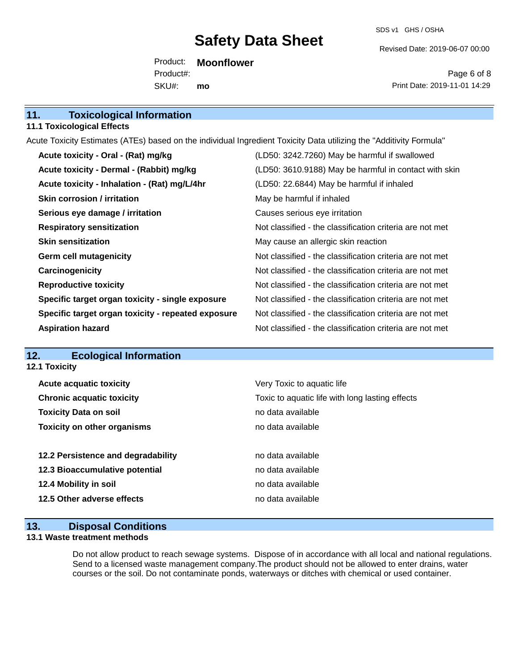SDS v1 GHS / OSHA

Revised Date: 2019-06-07 00:00

Product: **Moonflower** SKU#: Product#: **mo**

Page 6 of 8 Print Date: 2019-11-01 14:29

| 11.<br><b>Toxicological Information</b> |
|-----------------------------------------|
|-----------------------------------------|

### **11.1 Toxicological Effects**

Acute Toxicity Estimates (ATEs) based on the individual Ingredient Toxicity Data utilizing the "Additivity Formula"

| Acute toxicity - Oral - (Rat) mg/kg                | (LD50: 3242.7260) May be harmful if swallowed            |
|----------------------------------------------------|----------------------------------------------------------|
| Acute toxicity - Dermal - (Rabbit) mg/kg           | (LD50: 3610.9188) May be harmful in contact with skin    |
| Acute toxicity - Inhalation - (Rat) mg/L/4hr       | (LD50: 22.6844) May be harmful if inhaled                |
| Skin corrosion / irritation                        | May be harmful if inhaled                                |
| Serious eye damage / irritation                    | Causes serious eye irritation                            |
| <b>Respiratory sensitization</b>                   | Not classified - the classification criteria are not met |
| <b>Skin sensitization</b>                          | May cause an allergic skin reaction                      |
| <b>Germ cell mutagenicity</b>                      | Not classified - the classification criteria are not met |
| Carcinogenicity                                    | Not classified - the classification criteria are not met |
| <b>Reproductive toxicity</b>                       | Not classified - the classification criteria are not met |
| Specific target organ toxicity - single exposure   | Not classified - the classification criteria are not met |
| Specific target organ toxicity - repeated exposure | Not classified - the classification criteria are not met |
| <b>Aspiration hazard</b>                           | Not classified - the classification criteria are not met |

# **12. Ecological Information**

**12.1 Toxicity**

| <b>Acute acquatic toxicity</b>     | Very Toxic to aquatic life                      |
|------------------------------------|-------------------------------------------------|
| <b>Chronic acquatic toxicity</b>   | Toxic to aquatic life with long lasting effects |
| <b>Toxicity Data on soil</b>       | no data available                               |
| <b>Toxicity on other organisms</b> | no data available                               |
|                                    |                                                 |
| 12.2 Persistence and degradability | no data available                               |
| 12.3 Bioaccumulative potential     | no data available                               |
| 12.4 Mobility in soil              | no data available                               |
| 12.5 Other adverse effects         | no data available                               |
|                                    |                                                 |

### **13. Disposal Conditions**

### **13.1 Waste treatment methods**

Do not allow product to reach sewage systems. Dispose of in accordance with all local and national regulations. Send to a licensed waste management company.The product should not be allowed to enter drains, water courses or the soil. Do not contaminate ponds, waterways or ditches with chemical or used container.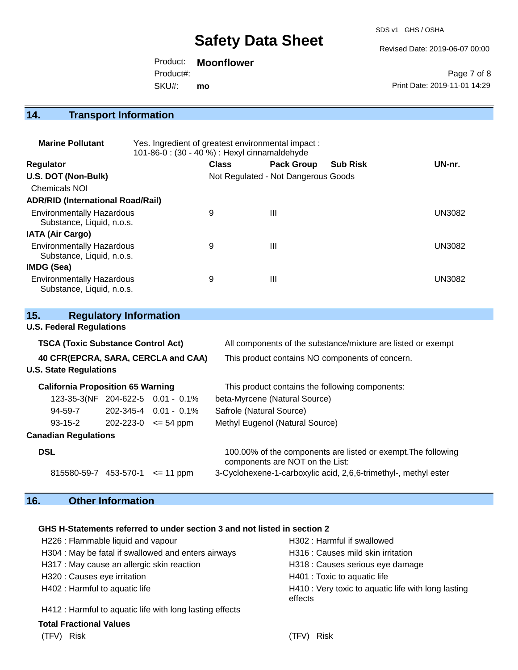SDS v1 GHS / OSHA

Revised Date: 2019-06-07 00:00

Product: **Moonflower** Product#:

SKU#: **mo**

Page 7 of 8 Print Date: 2019-11-01 14:29

# **14. Transport Information**

| <b>Marine Pollutant</b>                                       | Yes. Ingredient of greatest environmental impact:<br>101-86-0: (30 - 40 %) : Hexyl cinnamaldehyde |              |                                     |                 |               |
|---------------------------------------------------------------|---------------------------------------------------------------------------------------------------|--------------|-------------------------------------|-----------------|---------------|
| <b>Regulator</b>                                              |                                                                                                   | <b>Class</b> | <b>Pack Group</b>                   | <b>Sub Risk</b> | UN-nr.        |
| U.S. DOT (Non-Bulk)                                           |                                                                                                   |              | Not Regulated - Not Dangerous Goods |                 |               |
| <b>Chemicals NOI</b>                                          |                                                                                                   |              |                                     |                 |               |
| <b>ADR/RID (International Road/Rail)</b>                      |                                                                                                   |              |                                     |                 |               |
| <b>Environmentally Hazardous</b><br>Substance, Liquid, n.o.s. |                                                                                                   | 9            | $\mathbf{III}$                      |                 | <b>UN3082</b> |
| <b>IATA (Air Cargo)</b>                                       |                                                                                                   |              |                                     |                 |               |
| <b>Environmentally Hazardous</b><br>Substance, Liquid, n.o.s. |                                                                                                   | 9            | Ш                                   |                 | <b>UN3082</b> |
| IMDG (Sea)                                                    |                                                                                                   |              |                                     |                 |               |
| <b>Environmentally Hazardous</b><br>Substance, Liquid, n.o.s. |                                                                                                   | 9            | Ш                                   |                 | <b>UN3082</b> |

| 15.                                       | <b>Regulatory Information</b> |                             |                                                                                                  |  |  |
|-------------------------------------------|-------------------------------|-----------------------------|--------------------------------------------------------------------------------------------------|--|--|
| <b>U.S. Federal Regulations</b>           |                               |                             |                                                                                                  |  |  |
| <b>TSCA (Toxic Substance Control Act)</b> |                               |                             | All components of the substance/mixture are listed or exempt                                     |  |  |
| 40 CFR(EPCRA, SARA, CERCLA and CAA)       |                               |                             | This product contains NO components of concern.                                                  |  |  |
| <b>U.S. State Regulations</b>             |                               |                             |                                                                                                  |  |  |
| <b>California Proposition 65 Warning</b>  |                               |                             | This product contains the following components:                                                  |  |  |
| 123-35-3(NF 204-622-5 0.01 - 0.1%         |                               |                             | beta-Myrcene (Natural Source)                                                                    |  |  |
| 94-59-7                                   |                               | $202 - 345 - 4$ 0.01 - 0.1% | Safrole (Natural Source)                                                                         |  |  |
| $93 - 15 - 2$                             | $202 - 223 - 0 \le 54$ ppm    |                             | Methyl Eugenol (Natural Source)                                                                  |  |  |
| <b>Canadian Regulations</b>               |                               |                             |                                                                                                  |  |  |
| <b>DSL</b>                                |                               |                             | 100.00% of the components are listed or exempt. The following<br>components are NOT on the List: |  |  |
| 815580-59-7 453-570-1                     |                               | $\leq$ 11 ppm               | 3-Cyclohexene-1-carboxylic acid, 2,6,6-trimethyl-, methyl ester                                  |  |  |

# **16. Other Information**

#### **GHS H-Statements referred to under section 3 and not listed in section 2**

| H226 : Flammable liquid and vapour                       | H302: Harmful if swallowed                                     |
|----------------------------------------------------------|----------------------------------------------------------------|
| H304 : May be fatal if swallowed and enters airways      | H316 : Causes mild skin irritation                             |
| H317 : May cause an allergic skin reaction               | H318 : Causes serious eye damage                               |
| H320 : Causes eye irritation                             | H401 : Toxic to aquatic life                                   |
| H402 : Harmful to aquatic life                           | H410 : Very toxic to aquatic life with long lasting<br>effects |
| H412 : Harmful to aquatic life with long lasting effects |                                                                |
| <b>Total Fractional Values</b>                           |                                                                |

(TFV) Risk (TFV) Risk